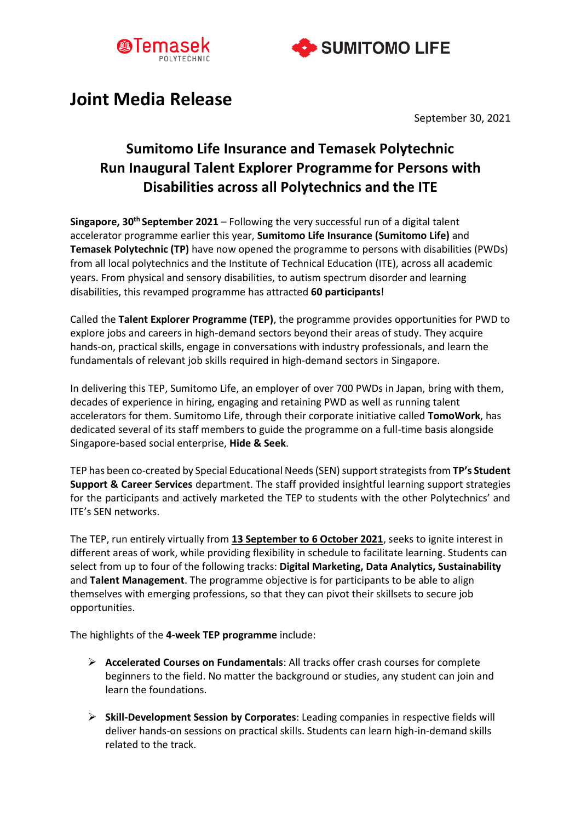



# **Joint Media Release**

September 30, 2021

# **Sumitomo Life Insurance and Temasek Polytechnic Run Inaugural Talent Explorer Programme for Persons with Disabilities across all Polytechnics and the ITE**

**Singapore, 30th September 2021** – Following the very successful run of a digital talent accelerator programme earlier this year, **Sumitomo Life Insurance (Sumitomo Life)** and **Temasek Polytechnic (TP)** have now opened the programme to persons with disabilities (PWDs) from all local polytechnics and the Institute of Technical Education (ITE), across all academic years. From physical and sensory disabilities, to autism spectrum disorder and learning disabilities, this revamped programme has attracted **60 participants**!

Called the **Talent Explorer Programme (TEP)**, the programme provides opportunities for PWD to explore jobs and careers in high-demand sectors beyond their areas of study. They acquire hands-on, practical skills, engage in conversations with industry professionals, and learn the fundamentals of relevant job skills required in high-demand sectors in Singapore.

In delivering this TEP, Sumitomo Life, an employer of over 700 PWDs in Japan, bring with them, decades of experience in hiring, engaging and retaining PWD as well as running talent accelerators for them. Sumitomo Life, through their corporate initiative called **TomoWork**, has dedicated several of its staff members to guide the programme on a full-time basis alongside Singapore-based social enterprise, **Hide & Seek**.

TEP has been co-created by Special Educational Needs (SEN) support strategists from **TP's Student Support & Career Services** department. The staff provided insightful learning support strategies for the participants and actively marketed the TEP to students with the other Polytechnics' and ITE's SEN networks.

The TEP, run entirely virtually from **13 September to 6 October 2021**, seeks to ignite interest in different areas of work, while providing flexibility in schedule to facilitate learning. Students can select from up to four of the following tracks: **Digital Marketing, Data Analytics, Sustainability**  and **Talent Management**. The programme objective is for participants to be able to align themselves with emerging professions, so that they can pivot their skillsets to secure job opportunities.

The highlights of the **4-week TEP programme** include:

- ➢ **Accelerated Courses on Fundamentals**: All tracks offer crash courses for complete beginners to the field. No matter the background or studies, any student can join and learn the foundations.
- ➢ **Skill-Development Session by Corporates**: Leading companies in respective fields will deliver hands-on sessions on practical skills. Students can learn high-in-demand skills related to the track.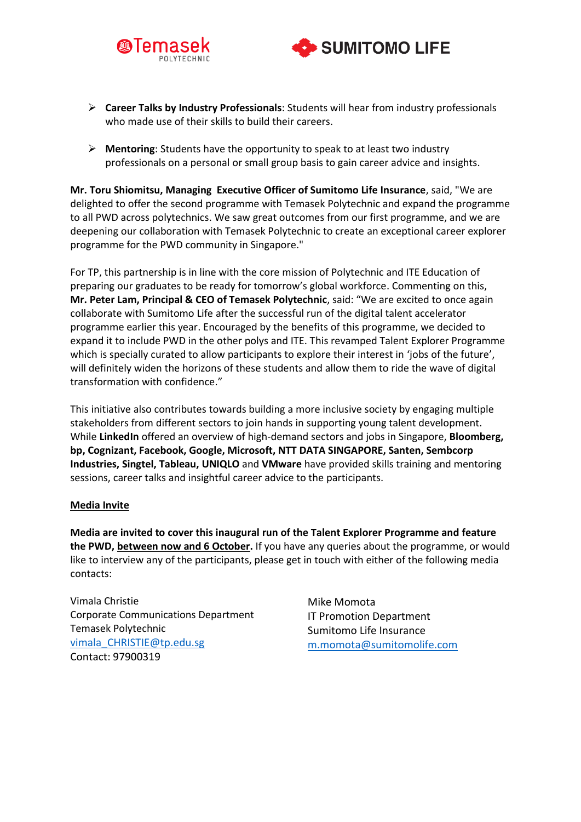



- ➢ **Career Talks by Industry Professionals**: Students will hear from industry professionals who made use of their skills to build their careers.
- ➢ **Mentoring**: Students have the opportunity to speak to at least two industry professionals on a personal or small group basis to gain career advice and insights.

**Mr. Toru Shiomitsu, Managing Executive Officer of Sumitomo Life Insurance**, said, "We are delighted to offer the second programme with Temasek Polytechnic and expand the programme to all PWD across polytechnics. We saw great outcomes from our first programme, and we are deepening our collaboration with Temasek Polytechnic to create an exceptional career explorer programme for the PWD community in Singapore."

For TP, this partnership is in line with the core mission of Polytechnic and ITE Education of preparing our graduates to be ready for tomorrow's global workforce. Commenting on this, **Mr. Peter Lam, Principal & CEO of Temasek Polytechnic**, said: "We are excited to once again collaborate with Sumitomo Life after the successful run of the digital talent accelerator programme earlier this year. Encouraged by the benefits of this programme, we decided to expand it to include PWD in the other polys and ITE. This revamped Talent Explorer Programme which is specially curated to allow participants to explore their interest in 'jobs of the future', will definitely widen the horizons of these students and allow them to ride the wave of digital transformation with confidence."

This initiative also contributes towards building a more inclusive society by engaging multiple stakeholders from different sectors to join hands in supporting young talent development. While **LinkedIn** offered an overview of high-demand sectors and jobs in Singapore, **Bloomberg, bp, Cognizant, Facebook, Google, Microsoft, NTT DATA SINGAPORE, Santen, Sembcorp Industries, Singtel, Tableau, UNIQLO** and **VMware** have provided skills training and mentoring sessions, career talks and insightful career advice to the participants.

#### **Media Invite**

**Media are invited to cover this inaugural run of the Talent Explorer Programme and feature the PWD, between now and 6 October.** If you have any queries about the programme, or would like to interview any of the participants, please get in touch with either of the following media contacts:

Vimala Christie Corporate Communications Department Temasek Polytechnic [vimala\\_CHRISTIE@tp.edu.sg](mailto:vimala_CHRISTIE@tp.edu.sg) Contact: 97900319

Mike Momota IT Promotion Department Sumitomo Life Insurance [m.momota@sumitomolife.com](mailto:m.momota@sumitomolife.com)